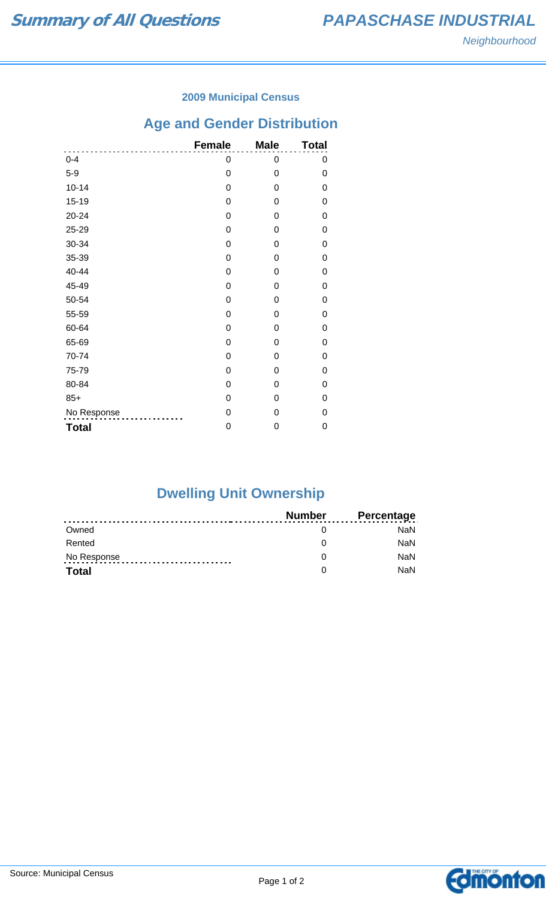### **2009 Municipal Census**

# **Age and Gender Distribution**

|              | <b>Female</b> | <b>Male</b> | <b>Total</b> |
|--------------|---------------|-------------|--------------|
| $0 - 4$      | 0             | 0           | 0            |
| $5-9$        | 0             | 0           | 0            |
| $10 - 14$    | 0             | 0           | 0            |
| $15 - 19$    | 0             | 0           | 0            |
| 20-24        | 0             | 0           | 0            |
| 25-29        | 0             | 0           | 0            |
| 30-34        | 0             | 0           | 0            |
| 35-39        | 0             | 0           | 0            |
| 40-44        | 0             | 0           | 0            |
| 45-49        | 0             | 0           | 0            |
| 50-54        | 0             | 0           | 0            |
| 55-59        | 0             | 0           | 0            |
| 60-64        | 0             | 0           | 0            |
| 65-69        | 0             | 0           | 0            |
| 70-74        | 0             | 0           | 0            |
| 75-79        | 0             | 0           | 0            |
| 80-84        | 0             | 0           | 0            |
| $85+$        | 0             | 0           | 0            |
| No Response  | 0             | 0           | 0            |
| <b>Total</b> | 0             | 0           | 0            |

# **Dwelling Unit Ownership**

|              | Number | <b>Percentage</b> |
|--------------|--------|-------------------|
| Owned        |        | NaN.              |
| Rented       |        | <b>NaN</b>        |
| No Response  |        | <b>NaN</b>        |
| <b>Total</b> |        | <b>NaN</b>        |